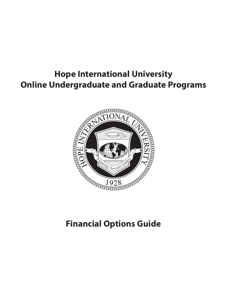### **Hope International University Online Undergraduate and Graduate Programs**



### **Financial Options Guide**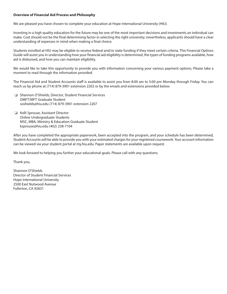#### **Overview of Financial Aid Process and Philosophy**

We are pleased you have chosen to complete your education at Hope International University (HIU).

Investing in a high quality education for the future may be one of the most important decisions and investments an individual can make. Cost should not be the final determining factor in selecting the right university; nevertheless, applicants should have a clear understanding of expenses in mind when making a final choice.

Students enrolled at HIU may be eligible to receive federal and/or state funding if they meet certain criteria. This Financial Options Guide will assist you in understanding how your financial aid eligibility is determined, the types of funding programs available, how aid is disbursed, and how you can maintain eligibility.

We would like to take this opportunity to provide you with information concerning your various payment options. Please take a moment to read through the information provided.

The Financial Aid and Student Accounts staff is available to assist you from 8:00 am to 5:00 pm Monday through Friday. You can reach us by phone at (714) 879-3901 extension 2202 or by the emails and extensions provided below.

- ❏ Shannon O'Shields, Director, Student Financial Services DMFT/MFT Graduate Student soshields@hiu.edu (714) 879-3901 extension 2207
- ❏ Kelli Sprouse, Assistant Director Online Undergraduate Students MSC, MBA, Ministry & Education Graduate Student ksprouse@hiu.edu (402) 238-7104

After you have completed the appropriate paperwork, been accepted into the program, and your schedule has been determined, Student Accounts will be able to provide you with your estimated charges for your registered coursework. Your account information can be viewed via your student portal at my.hiu.edu. Paper statements are available upon request.

We look forward to helping you further your educational goals. Please call with any questions.

Thank you,

Shannon O'Shields Director of Student Financial Services Hope International University 2500 East Nutwood Avenue Fullerton, CA 92831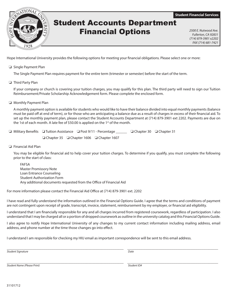**Student Financial Services**



### Student Accounts Department Financial Options *2500 E. Nutwood Ave.*

*Fullerton, CA 92831 (714) 879-3901 x2202 FAX (714) 681-7421*

Hope International University provides the following options for meeting your financial obligations. Please select one or more:

❏ Single Payment Plan

The Single Payment Plan requires payment for the entire term (trimester or semester) before the start of the term.

❏ Third Party Plan

If your company or church is covering your tuition charges, you may qualify for this plan. The third party will need to sign our Tuition Reimbursement/Private Scholarship Acknowledgement form. Please complete the enclosed form.

❏ Monthly Payment Plan

A monthly payment option is available for students who would like to have their balance divided into equal monthly payments (balance must be paid off at end of term), or for those who are anticipating a balance due as a result of charges in excess of their financial aid. To set up the monthly payment plan, please contact the Student Accounts Department at (714) 879-3901 ext 2202. Payments are due on the 1st of each month. A late fee of \$50.00 is applied on the  $1<sup>st</sup>$  of the month.

|                                                           | □ Military Benefits □ Tuition Assistance □ Post 9/11 - Percentage _______ □ Chapter 30 □ Chapter 31 |  |  |
|-----------------------------------------------------------|-----------------------------------------------------------------------------------------------------|--|--|
| $\Box$ Chapter 35 $\Box$ Chapter 1606 $\Box$ Chapter 1607 |                                                                                                     |  |  |

❏ Financial Aid Plan

You may be eligible for financial aid to help cover your tuition charges. To determine if you qualify, you must complete the following prior to the start of class:

FAFSA Master Promissory Note Loan Entrance Counseling Student Authorization Form Any additional documents requested from the Office of Financial Aid

For more information please contact the Financial Aid Office at (714) 879-3901 ext. 2202

I have read and fully understand the information outlined in the Financial Options Guide. I agree that the terms and conditions of payment are not contingent upon receipt of grade, transcript, invoice, statement, reimbursement by my employer, or financial aid eligibility.

I understand that I am financially responsible for any and all charges incurred from registered coursework, regardless of participation. I also understand that I may be charged all or a portion of dropped coursework as outline in the university catalog and this Financial Options Guide.

I also agree to notify Hope International University of any changes to my current contact information including mailing address, email address, and phone number at the time those changes go into effect.

I understand I am responsible for checking my HIU email as important correspondence will be sent to this email address.

*Student Signature Date*

\_\_\_\_\_\_\_\_\_\_\_\_\_\_\_\_\_\_\_\_\_\_\_\_\_\_\_\_\_\_\_\_\_\_\_\_\_\_\_\_\_\_\_\_\_\_\_\_\_\_\_\_\_\_\_\_\_\_\_\_\_\_\_ \_\_\_\_\_\_\_\_\_\_\_\_\_\_\_\_\_\_\_\_\_\_\_\_\_\_\_\_\_\_\_\_\_\_\_\_\_\_\_\_\_\_\_\_\_\_\_\_\_

\_\_\_\_\_\_\_\_\_\_\_\_\_\_\_\_\_\_\_\_\_\_\_\_\_\_\_\_\_\_\_\_\_\_\_\_\_\_\_\_\_\_\_\_\_\_\_\_\_\_\_\_\_\_\_\_\_\_\_\_\_\_\_ \_\_\_\_\_\_\_\_\_\_\_\_\_\_\_\_\_\_\_\_\_\_\_\_\_\_\_\_\_\_\_\_\_\_\_\_\_\_\_\_\_\_\_\_\_\_\_\_\_ *Student Name (Please Print) Student ID#*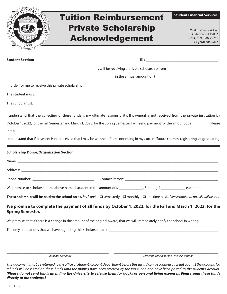|                                                                                                                                                             |                              | <b>Student Financial Services</b>           |
|-------------------------------------------------------------------------------------------------------------------------------------------------------------|------------------------------|---------------------------------------------|
|                                                                                                                                                             | <b>Tuition Reimbursement</b> |                                             |
|                                                                                                                                                             | <b>Private Scholarship</b>   | 2500 E. Nutwood Ave.                        |
|                                                                                                                                                             | <b>Acknowledgement</b>       | Fullerton, CA 92831<br>(714) 879-3901 x2202 |
|                                                                                                                                                             |                              | FAX (714) 681-7421                          |
|                                                                                                                                                             |                              |                                             |
| <b>Student Section:</b>                                                                                                                                     |                              |                                             |
|                                                                                                                                                             |                              |                                             |
|                                                                                                                                                             |                              |                                             |
| In order for me to receive this private scholarship:                                                                                                        |                              |                                             |
|                                                                                                                                                             |                              |                                             |
|                                                                                                                                                             |                              |                                             |
| I understand that the collecting of these funds is my ultimate responsibility. If payment is not received from the private institution by                   |                              |                                             |
| October 1, 2022, for the Fall Semester and March 1, 2023, for the Spring Semester. I will send payment for the amount due. Please                           |                              |                                             |
| initial.                                                                                                                                                    |                              |                                             |
| I understand that if payment is not received that I may be withheld from continuing in my current/future courses, registering, or graduating.               |                              |                                             |
|                                                                                                                                                             |                              |                                             |
| <b>Scholarship Donor/Organization Section:</b>                                                                                                              |                              |                                             |
|                                                                                                                                                             |                              |                                             |
|                                                                                                                                                             |                              |                                             |
|                                                                                                                                                             |                              |                                             |
| We promise to scholarship the above named student in the amount of $\frac{2}{2}$ Sending $\frac{2}{2}$ Sending $\frac{2}{2}$ each time.                     |                              |                                             |
| The scholarship will be paid to the school on a (check one) $\Box$ semesterly $\Box$ monthly $\Box$ one time basis. Please note that no bills will be sent. |                              |                                             |
| We promise to complete the payment of all funds by October 1, 2022, for the Fall and March 1, 2023, for the<br><b>Spring Semester.</b>                      |                              |                                             |
| We promise, that if there is a change in the amount of the original award, that we will immediately notify the school in writing.                           |                              |                                             |
|                                                                                                                                                             |                              |                                             |
|                                                                                                                                                             |                              |                                             |
|                                                                                                                                                             |                              |                                             |
|                                                                                                                                                             |                              |                                             |

*Student's Signature Certifying Official for the Private Institution*

*This document must be returned to the office of Student Account Department before this award can be counted as credit against the account. No refunds will be issued on these funds until the monies have been received by the institution and have been posted to the student's account. (Please do not send funds intending the University to release them for books or personal living expenses. Please send these funds directly to the students.)*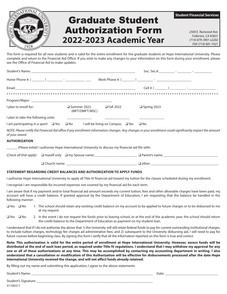# Graduate Student Authorization Form *2500 E. Nutwood Ave.* **2022-2023 Academic Year** (714) 879-3901 x2202

*Fullerton, CA 92831*

**Student Financial Services**

This form is required for all new students and is valid for the entire enrollment for the graduate students at Hope International University. Please complete and return to the Financial Aid Office. If you wish to make any changes to your information on this form during your enrollment, please see the Office of Financial Aid to make updates.

| I plan to enroll for:               | $\Box$ Fall 2022<br>$\square$ Summer 2022<br>(MFT/DMFT/MSC)                                          | Spring 2023                                                                                                                                              |  |
|-------------------------------------|------------------------------------------------------------------------------------------------------|----------------------------------------------------------------------------------------------------------------------------------------------------------|--|
| I plan to take the following units: | the control of the control of the control of                                                         |                                                                                                                                                          |  |
|                                     | I am participating in a sport: $\Box$ Yes $\Box$ No I will be living on Campus: $\Box$ Yes $\Box$ No |                                                                                                                                                          |  |
| of your award.                      |                                                                                                      | NOTE: Please notify the Financial Aid office if any enrollment information changes. Any changes in your enrollment could significantly impact the amount |  |
| <b>AUTHORIZATION</b>                |                                                                                                      |                                                                                                                                                          |  |
|                                     | (Please initial) I authorize Hope International University to discuss my financial aid file with:    |                                                                                                                                                          |  |
|                                     |                                                                                                      | (Check all that apply) $\Box$ myself only $\Box$ my Spouse name: $\Box$ Parent's name:                                                                   |  |
|                                     |                                                                                                      |                                                                                                                                                          |  |
|                                     | STATEMENT REGARDING CREDIT BALANCES AND AUTHORIZATION TO APPLY FUNDS                                 |                                                                                                                                                          |  |
|                                     |                                                                                                      | I authorize Hope International University to apply all Title IV financial aid toward my tuition for the classes scheduled during my enrollment.          |  |

I recognize I am responsible for incurred expenses not covered by my financial aid for each term.

I am aware that if my payment and/or total financial aid amount exceeds my current tuition, fees and other allowable charges have been paid, my account will have a credit balance. If granted approval by the Department of Education, I am requesting that the balance be handled in the following manner:

- ❑ Yes ❑ No 1. The school should retain any existing credit balance on my account to be applied to future charges or to be disbursed to me at my request.
- ❑ Yes ❑ No 2. In the event I do not request the funds prior to leaving school, or at the end of the academic year, the school should return the credit balance to the Department of Education as payment on my student loan.

I understand that if I do not authorize the above that 1) the University will still retain federal funds to pay for current outstanding institutional charges, to include tuition charges, technology fee charges ad administrative fees; and 2) subsequent to the University disbursing aid, I will need to pay for future courses before beginning class. By signing this form I verify that all the information reported on this form is true and correct.

**Note: This authorization is valid for the entire period of enrollment at Hope International University. However, excess funds will be distributed at the end of each loan period, as required under Title IV regulations. I understand that I may withdraw my approval for any one or all of these authorizations at any time. This may be accomplished by contacting my accounting department in writing. I also understand that a cancellation or modification of this Authorization will be effective for disbursements processed after the date Hope International University received the change, and will not affect funds already retained.**

By filling out my name and submitting this application, I agree to the above statements.

Student's Name: \_\_\_\_\_\_\_\_\_\_\_\_\_\_\_\_\_\_\_\_\_\_\_\_\_\_\_\_\_\_\_\_\_\_\_\_\_\_\_\_\_\_\_\_\_\_\_\_\_\_\_\_\_\_\_\_\_\_\_\_\_\_\_\_\_\_\_\_\_ Date: \_\_\_\_\_\_\_\_\_\_\_\_\_\_\_\_\_\_\_\_\_\_\_\_\_\_\_\_\_\_

**Roddenson Property**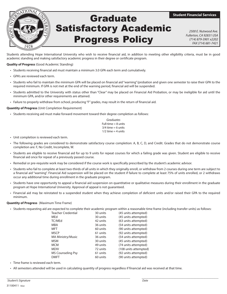

## Satisfactory Academic Progress Policy Graduate

**Student Financial Services**

*2500 E. Nutwood Ave. Fullerton, CA 92831 USA (714) 879-3901 x2202 FAX (714) 681-7421*

Students attending Hope International University who wish to receive financial aid, in addition to meeting other eligibility criteria, must be in good academic standing and making satisfactory academic progress in their degree or certificate program.

#### **Quality of Progress** (Good Academic Standing)

- Students receiving financial aid must maintain a minimum 3.0 GPA each term and cumulatively.
- GPA's are reviewed each term.
- Students who fail to maintain the minimum GPA will be placed on financial aid "warning"/probation and given one semester to raise their GPA to the required minimum. If GPA is not met at the end of the warning period, financial aid will be suspended.
- Students admitted to the University with status other than "Clear" may be placed on Financial Aid Probation, or may be ineligible for aid until the minimum GPA, and/or other requirements are attained.
- Failure to properly withdraw from school, producing "F" grades, may result in the return of financial aid.

#### **Quantity of Progress** (Unit Completion Requirement)

• Students receiving aid must make forward movement toward their degree completion as follows:

| Graduates             |  |  |  |
|-----------------------|--|--|--|
| Full-time $= 8$ units |  |  |  |
| $3/4$ time = 6 units  |  |  |  |
| $1/2$ time = 4 units  |  |  |  |

- Unit completion is reviewed each term.
- The following grades are considered to demonstrate satisfactory course completion: A, B, C, D, and Credit. Grades that do not demonstrate course completion are: F, No Credit, Incomplete, W.
- Students are eligible to receive financial aid for up to 9 units for repeat courses for which a failing grade was given. Student are eligible to receive financial aid once for repeat of a previously passed course.
- Remedial or pre-requisite work may be considered if the course work is specifically prescribed by the student's academic advisor.
- Students who fail to complete at least two-thirds of all units in which they originally enroll, or withdraw from 2 courses during one term are subject to a financial aid "warning". Financial Aid suspension will be placed on the student if failure to complete at least 75% of units enrolled, or 2 withdraws occur any additional time during enrollment in the graduate program.
- Students have one opportunity to appeal a financial aid suspension on quantitative or qualitative measures during their enrollment in the graduate program at Hope International University. Approval of appeal is not guaranteed.
- Financial aid may be reinstated to a suspended student when they achieve completion of deficient units and/or raised their GPA to the required minimum.

#### **Quantity of Progress** (Maximum Time Frame)

• Students requesting aid are expected to complete their academic program within a reasonable time frame (including transfer units) as follows:

| <b>Teacher Credential</b> | 30 units | (45 units attempted)  |
|---------------------------|----------|-----------------------|
| MEd                       | 30 units | (45 units attempted)  |
| TC/MEd                    | 42 units | (63 units attempted)  |
| MBA                       | 36 units | (54 units attempted)  |
| MFT                       | 60 units | (90 units attempted)  |
| <b>MSCP</b>               | 61 units | (92 units attempted)  |
| MA Ministry/Music         | 36 units | (54 units attempted)  |
| MSM                       | 30 units | (45 units attempted)  |
| MCM                       | 49 units | (74 units attempted)  |
| MDIV                      | 72 units | (108 units attempted) |
| MS Counseling Psy         | 61 units | (92 units attempted)  |
| DMFT                      | 60 units | (90 units attempted)  |
|                           |          |                       |

- Time frame is reviewed each term.
- All semesters attended will be used in calculating quantity of progress regardless if financial aid was received at that time.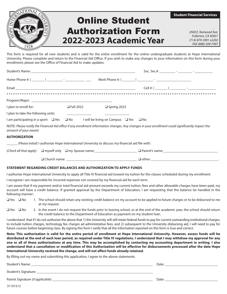

*Fullerton, CA 92831*

This form is required for all new students and is valid for the entire enrollment for the online undergraduate students at Hope International University. Please complete and return to the Financial Aid Office. If you wish to make any changes to your information on this form during your enrollment, please see the Office of Financial Aid to make updates.

| $\Box$ Fall 2022 $\Box$ Spring 2023<br>I plan to enroll for:                                                                                                                                                                                                                                                                                                                                                                                                                                                                                                                                                                                                                                                                                                                            |  |  |
|-----------------------------------------------------------------------------------------------------------------------------------------------------------------------------------------------------------------------------------------------------------------------------------------------------------------------------------------------------------------------------------------------------------------------------------------------------------------------------------------------------------------------------------------------------------------------------------------------------------------------------------------------------------------------------------------------------------------------------------------------------------------------------------------|--|--|
| I plan to take the following units:                                                                                                                                                                                                                                                                                                                                                                                                                                                                                                                                                                                                                                                                                                                                                     |  |  |
| I am participating in a sport: □ Yes □ No I will be living on Campus: □ Yes □ No                                                                                                                                                                                                                                                                                                                                                                                                                                                                                                                                                                                                                                                                                                        |  |  |
| NOTE: Please notify the Financial Aid office if any enrollment information changes. Any changes in your enrollment could significantly impact the<br>amount of your award.                                                                                                                                                                                                                                                                                                                                                                                                                                                                                                                                                                                                              |  |  |
| <b>AUTHORIZATION</b>                                                                                                                                                                                                                                                                                                                                                                                                                                                                                                                                                                                                                                                                                                                                                                    |  |  |
| (Please initial) I authorize Hope International University to discuss my financial aid file with:                                                                                                                                                                                                                                                                                                                                                                                                                                                                                                                                                                                                                                                                                       |  |  |
|                                                                                                                                                                                                                                                                                                                                                                                                                                                                                                                                                                                                                                                                                                                                                                                         |  |  |
| $\Box$ Church name: $\Box$ Other: $\Box$ Other:                                                                                                                                                                                                                                                                                                                                                                                                                                                                                                                                                                                                                                                                                                                                         |  |  |
| STATEMENT REGARDING CREDIT BALANCES AND AUTHORIZATION TO APPLY FUNDS                                                                                                                                                                                                                                                                                                                                                                                                                                                                                                                                                                                                                                                                                                                    |  |  |
| I authorize Hope International University to apply all Title IV financial aid toward my tuition for the classes scheduled during my enrollment.                                                                                                                                                                                                                                                                                                                                                                                                                                                                                                                                                                                                                                         |  |  |
| I recognize I am responsible for incurred expenses not covered by my financial aid for each term.                                                                                                                                                                                                                                                                                                                                                                                                                                                                                                                                                                                                                                                                                       |  |  |
| I am aware that if my payment and/or total financial aid amount exceeds my current tuition, fees and other allowable charges have been paid, my<br>account will have a credit balance. If granted approval by the Department of Education, I am requesting that the balance be handled in the<br>following manner:                                                                                                                                                                                                                                                                                                                                                                                                                                                                      |  |  |
| $\Box$ Yes $\Box$ No<br>1. The school should retain any existing credit balance on my account to be applied to future charges or to be disbursed to me<br>at my request.                                                                                                                                                                                                                                                                                                                                                                                                                                                                                                                                                                                                                |  |  |
| $\Box$ Yes $\Box$ No<br>2. In the event I do not request the funds prior to leaving school, or at the end of the academic year, the school should return<br>the credit balance to the Department of Education as payment on my student loan.                                                                                                                                                                                                                                                                                                                                                                                                                                                                                                                                            |  |  |
| I understand that if I do not authorize the above that 1) the University will still retain federal funds to pay for current outstanding institutional charges,<br>to include tuition charges, technology fee charges ad administrative fees; and 2) subsequent to the University disbursing aid, I will need to pay for<br>future courses before beginning class. By signing this form I verify that all the information reported on this form is true and correct.                                                                                                                                                                                                                                                                                                                     |  |  |
| Note: This authorization is valid for the entire period of enrollment at Hope International University. However, excess funds will be<br>distributed at the end of each loan period, as required under Title IV regulations. I understand that I may withdraw my approval for any<br>one or all of these authorizations at any time. This may be accomplished by contacting my accounting department in writing. I also<br>understand that a cancellation or modification of this Authorization will be effective for disbursements processed after the date Hope<br>International University received the change, and will not affect funds already retained.<br><b>PERSONAL PROPERTY AND ARRANGEMENT CONTROLLER CONTROLLER CONTROLLER CONTROLLER CONTROLLER CONTROLLER CONTROLLER</b> |  |  |

By filling out my name and submitting this application, I agree to the above statements.

| Student's Name:                   | Date: |
|-----------------------------------|-------|
| Student's Signature:              |       |
| Parent Signature (if applicable): | Date: |

31101512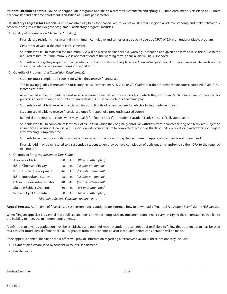**Student Enrollment Status**. Online undergraduate programs operate on a semester system; fall and spring. Full time enrollment is classified as 12 units per semester and half time enrollment is classified as 6 units per semester.

**Satisfactory Progress for Financial Aid.** To maintain eligibility for financial aid, students must remain in good academic standing and make satisfactory academic progress in their degree programs. "Satisfactory progress" includes:

- 1. Quality of Progress (*Good Academic Standing*):
	- Financial aid recipients must maintain a minimum cumulative and semester grade point average (*GPA*) of 2.0 in an undergraduate program.
	- GPAs are reviewed at the end of each semester.
	- Students who fail to maintain the minimum GPA will be placed on financial aid "warning"/probation and given one term to raise their GPA to the required minimum. If minimum GPA is not met at end of the warning term, financial aid will be suspended.
	- Students entering the program with an academic probation status will be placed on *financial aid probation.* Further aid renewal depends on the student's academic achievement during the first term.
- 2. Quantity of Progress (*Unit Completion Requirement*):
	- Students must complete all courses for which they receive financial aid.
	- The following grades demonstrate satisfactory course completion: A, B, C, D, or CR. Grades that do not demonstrate course completion are F, NC, Incomplete, or W.
	- As explained above, students will not receive unearned financial aid for courses from which they withdraw. Such courses are not counted for purposes of determining the number of units students must complete per academic year.
	- Students are eligible to receive financial aid for up to 9 units of repeat courses for which a failing grade was given.

Students are eligible to receive financial aid once for repeat of a previously passed course

• Remedial or prerequisite coursework may qualify for financial aid if the student's academic advisor specifically approves it.

 Students who fail to complete at least 75% of all units in which they originally enroll, or withdraw from 2 courses during one term, are subject to a financial aid warning. Financial aid suspension will occur if failure to complete at least two-thirds of units enrolled, or 2 withdraws occur again after warning is implemented.

Students have one opportunity to appeal a financial aid suspension during their enrollment. Approval of appeal is not guaranteed.

 Financial Aid may be reinstated to a suspended student when they achieve completion of deficient units and/or raise their GPA to the required minimum.

3. Quantity of Progress (*Maximum Time Frame*):

| Associate of Arts                      | 60 units | (90 units attempted)                      |
|----------------------------------------|----------|-------------------------------------------|
| B.S. in Christian Ministry             | 48 units | $(72 \text{ units attempted})^*$          |
| B.S. in Human Development              | 46 units | $(69 \text{ units attempted})^*$          |
| <b>B.S. in Intercultural Studies</b>   | 48 units | $(72 \text{ units attempted})^*$          |
| <b>B.A.</b> in Business Administration | 48 units | $(67 \text{ units}$ attempted)*           |
| Multiple Subject Credential            | 30 units | (45 units attempted)                      |
| Single Subject Credential              | 30 units | (45 units attempted)                      |
|                                        |          | *Excluding General Education requirements |

**Appeal Process.** At the time of financial aid suspension notice, students are informed how to download a "Financial Aid Appeal Form" via the HIU website.

When filing an appeal, it is essential that a full explanation is provided along with any documentation (if necessary), verifying the circumstances that led to the inability to meet the minimum requirements.

A definite plan towards graduation must be established and outlined with the student's academic advisor. Failure to follow this academic plan may be used as a basis for future denial of financial aid. A signature from the academic advisor is required before consideration will be made.

 $\overline{\phantom{a}}$  , and the state of the state of the state of the state of the state of the state of the state of the state of the state of the state of the state of the state of the state of the state of the state of the stat

If the appeal is denied, the financial aid office will provide information regarding alternatives available. These options may include:

- 1. Payment plan established by Student Accounts Department
- 2. Private Loans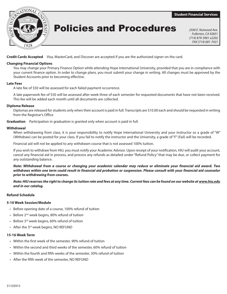**Student Financial Services**



**Policies and Procedures** 2500 E. Nutwood Ave.

*Fullerton, CA 92831 (714) 879-3901 x2202 FAX (714) 681-7421*

**Credit Cards Accepted** Visa, MasterCard, and Discover are accepted if you are the authorized signer on the card.

#### **Changing Financial Options**

You may change your Primary Finance Option while attending Hope International University, provided that you are in compliance with your current finance option. In order to change plans, you must submit your change in writing. All changes must be approved by the Student Accounts prior to becoming effective.

#### **Late Fees**

A late fee of \$50 will be assessed for each failed payment occurrence.

A late paperwork fee of \$50 will be assessed after week three of each semester for requested documents that have not been received. This fee will be added each month until all documents are collected.

#### **Diploma Release**

Diplomas are released for students only when their account is paid in full. Transcripts are \$10.00 each and should be requested in writing from the Registrar's Office

**Graduation** Participation in graduation is granted only when account is paid in full.

#### **Withdrawal**

When withdrawing from class, it is your responsibility to notify Hope International University and your instructor so a grade of "W" (Withdraw) can be posted for your class. If you fail to notify the instructor and the University, a grade of "F" (Fail) will be recorded.

Financial aid will not be applied to any withdrawn course that is not assessed 100% tuition.

If you wish to withdraw from HIU, you must notify your Academic Advisor. Upon receipt of your notification, HIU will audit your account, cancel any financial aid in process, and process any refunds as detailed under "Refund Policy" that may be due, or collect payment for any outstanding balance.

*Note: Withdrawal from a course or changing your academic calendar may reduce or eliminate your financial aid award. Two withdraws within one term could result in financial aid probation or suspension. Please consult with your financial aid counselor prior to withdrawing from courses.*

*Note: HIU reserves the right to change its tuition rate and fees at any time. Current fees can be found on our website at www.hiu.edu and in our catalog.*

#### **Refund Schedule**

#### **5-10 Week Session/Module**

- Before opening date of a course, 100% refund of tuition
- Before 2<sup>nd</sup> week begins, 80% refund of tuition
- Before 3rd week begins, 60% refund of tuition
- After the  $3^{rd}$  week begins, NO REFUND

#### **15-16 Week Term**

- Within the first week of the semester, 90% refund of tuition
- Within the second and third weeks of the semester, 60% refund of tuition
- Within the fourth and fifth weeks of the semester, 30% refund of tuition
- After the fifth week of the semester, NO REFUND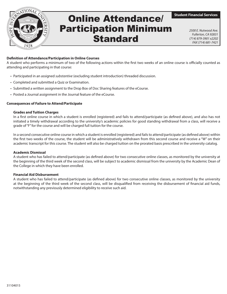

### **Online Attendance** Participation Minimum **Standard**

*2500 E. Nutwood Ave. Fullerton, CA 92831 (714) 879-3901 x2202 FAX (714) 681-7421*

#### **Definition of Attendance/Participation in Online Courses**

A student who performs a minimum of two of the following actions within the first two weeks of an online course is officially counted as attending and participating in that course:

- Participated in an assigned *substantive* (excluding student introduction) threaded discussion.
- Completed and submitted a Quiz or Examination.
- Submitted a written assignment to the Drop Box of Doc Sharing features of the eCourse.
- Posted a Journal assignment in the Journal feature of the eCourse.

#### **Consequences of Failure to Attend/Participate**

#### **Grades and Tuition Charges**

In a first online course in which a student is enrolled (registered) and fails to attend/participate (as defined above), and also has not initiated a timely withdrawal according to the university's academic policies for good standing withdrawal from a class, will receive a grade of "F" for the course and will be charged full tuition for the course.

In a second consecutive online course in which a student is enrolled (registered) and fails to attend/participate (as defined above) within the first two weeks of the course, the student will be administratively withdrawn from this second course and receive a "W" on their academic transcript for this course. The student will also be charged tuition on the prorated basis prescribed in the university catalog.

#### **Academic Dismissal**

A student who has failed to attend/participate (as defined above) for two consecutive online classes, as monitored by the university at the beginning of the third week of the second class, will be subject to academic dismissal from the university by the Academic Dean of the College in which they have been enrolled.

#### **Financial Aid Disbursement**

A student who has failed to attend/participate (as defined above) for two consecutive online classes, as monitored by the university at the beginning of the third week of the second class, will be disqualified from receiving the disbursement of financial aid funds, notwithstanding any previously determined eligibility to receive such aid.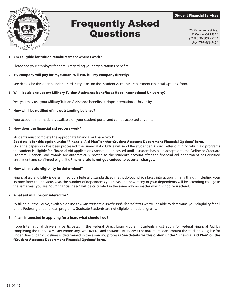

### Frequently Asked **Questions** *2500 E. Nutwood Ave.*

**Student Financial Services**

*Fullerton, CA 92831 (714) 879-3901 x2202 FAX (714) 681-7421*

#### **1. Am I eligible for tuition reimbursement where I work?**

Please see your employer for details regarding your organization's benefits.

#### **2. My company will pay for my tuition. Will HIU bill my company directly?**

See details for this option under "Third Party Plan" on the "Student Accounts Department Financial Options" form.

#### **3. Will I be able to use my Military Tuition Assistance benefits at Hope International University?**

Yes, you may use your Military Tuition Assistance benefits at Hope International University.

#### **4. How will I be notified of my outstanding balance?**

Your account information is available on your student portal and can be accessed anytime.

#### **5. How does the financial aid process work?**

Students must complete the appropriate financial aid paperwork.

 **See details for this option under "Financial Aid Plan" on the "Student Accounts Department Financial Options" form.** Once the paperwork has been processed, the Financial Aid Office will send the student an Award Letter outlining which aid programs the student is eligible for. Financial Aid applications cannot be processed until a student has been accepted to the Online or Graduate Program. Financial Aid awards are automatically posted to the student's account after the financial aid department has certified enrollment and confirmed eligibility. **Financial aid is not guaranteed to cover all charges.**

#### **6. How will my aid eligibility be determined?**

 Financial aid eligibility is determined by a federally standardized methodology which takes into account many things, including your income from the previous year, the number of dependents you have, and how many of your dependents will be attending college in the same year you are. Your "financial need" will be calculated in the same way no matter which school you attend.

#### **7. What aid will I be considered for?**

 By filling out the FAFSA, available online at *www.studentaid.gov/h/apply-for-aid[/fafsa](http://www.fafsa.ed.gov)* we will be able to determine your eligibility for all of the Federal grant and loan programs. Graduate Students are not eligible for federal grants.

#### **8. If I am interested in applying for a loan, what should I do?**

 Hope International University participates in the Federal Direct Loan Program. Students must apply for Federal Financial Aid by completing the FAFSA, a Master Promissory Note (MPN), and Entrance Interview. (The maximum loan amount the student is eligible for under Direct Loan guidelines is determined in the awarding process.) **See details for this option under "Financial Aid Plan" on the "Student Accounts Department Financial Options" form.**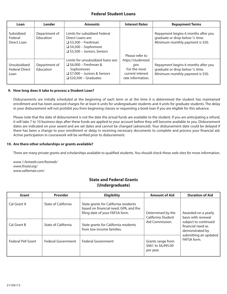#### **Federal Student Loans**

| Loan                                          | Lender                            | <b>Amounts</b>                                                                                                                                       | <b>Interest Rates</b>                                                                                   | <b>Repayment Terms</b>                                                                                      |
|-----------------------------------------------|-----------------------------------|------------------------------------------------------------------------------------------------------------------------------------------------------|---------------------------------------------------------------------------------------------------------|-------------------------------------------------------------------------------------------------------------|
| Subsidized<br>Federal<br>Direct Loan          | Department of<br><b>Education</b> | Limits for subsidized Federal<br>Direct Loans are:<br>$\Box$ \$3,500 – Freshman<br>$\Box$ \$4,500 – Sophomore<br>$\Box$ \$5,500 - Juniors, Seniors   |                                                                                                         | Repayment begins 6 months after you<br>graduate or drop below 1/2 time.<br>Minimum monthly payment is \$50. |
| Unsubsidized<br><b>Federal Direct</b><br>Loan | Department of<br><b>Education</b> | Limits for unsubsidized loans are:<br>$\Box$ \$6,000 – Freshman &<br>Sophomores<br>$\Box$ \$7,000 - Juniors & Seniors<br>$\Box$ \$20,500 – Graduates | Please refer to<br>https://studentaid.<br>gov.<br>For the most<br>current interest<br>rate information. | Repayment begins 6 months after you<br>graduate or drop below 1/2 time.<br>Minimum monthly payment is \$50. |

#### **9. How long does it take to process a Student Loan?**

 Disbursements are initially scheduled at the beginning of each term or at the time it is determined the student has maintained enrollment and has been assessed charges for at least 6 units for undergraduate students and 4 units for graduate students. The delay in your disbursement will not prohibit you from beginning classes or requesting a book loan if you are eligible for this advance.

 Please note that the date of disbursement is not the date the actual funds are available to the student. If you are anticipating a refund, it will take 7 to 10 business days after these funds are applied to your account before they will become available to you. Disbursement dates are indicated on your award and are set dates and cannot be changed (advanced). Your disbursement date could be delayed if there has been a change to your enrollment or delay in receiving necessary documents to complete and process your financial aid. Active participation in coursework will be verified prior to disbursement.

#### **10. Are there other scholarships or grants available?**

There are many private grants and scholarships available to qualified students. You should check these web sites for more information.

*www.1.fastweb.com/fastweb/ www.finaid.org/ www.salliemae.com/*

#### **State and Federal Grants (Undergraduate)**

| Grant              | <b>Provider</b>     | <b>Eligibility</b>                                                                                                | <b>Amount of Aid</b>                                  | <b>Duration of Aid</b>                                       |
|--------------------|---------------------|-------------------------------------------------------------------------------------------------------------------|-------------------------------------------------------|--------------------------------------------------------------|
| Cal Grant A        | State of California | State grants for California residents<br>based on financial need, GPA, and the<br>filing date of your FAFSA form. | Determined by the<br>California Student               | Awarded on a yearly<br>basis with renewal                    |
| Cal Grant B        | State of California | State grants for California residents<br>from low income families.                                                | Aid Commission.                                       | subject to continued<br>financial need as<br>demonstrated by |
| Federal Pell Grant | Federal Government  | <b>Federal Government</b>                                                                                         | Grants range from<br>\$661 to \$6,495.00<br>per year. | submitting an updated<br>FAFSA form.                         |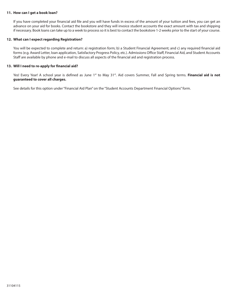#### **11. How can I get a book loan?**

 If you have completed your financial aid file and you will have funds in excess of the amount of your tuition and fees, you can get an advance on your aid for books. Contact the bookstore and they will invoice student accounts the exact amount with tax and shipping if necessary. Book loans can take up to a week to process so it is best to contact the bookstore 1-2 weeks prior to the start of your course.

#### **12. What can I expect regarding Registration?**

 You will be expected to complete and return: a) registration form; b) a Student Financial Agreement; and c) any required financial aid forms (e.g. Award Letter, loan application, Satisfactory Progress Policy, etc.). Admissions Office Staff, Financial Aid, and Student Accounts Staff are available by phone and e-mail to discuss all aspects of the financial aid and registration process.

#### **13. Will I need to re-apply for financial aid?**

Yes! Every Year! A school year is defined as June 1<sup>st</sup> to May 31<sup>st</sup>. Aid covers Summer, Fall and Spring terms. Financial aid is not **guaranteed to cover all charges.**

See details for this option under "Financial Aid Plan" on the "Student Accounts Department Financial Options" form.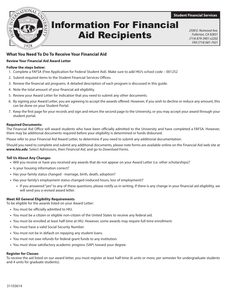**Student Financial Services**



### Information For Financial Aid Recipients

*2500 E. Nutwood Ave. Fullerton, CA 92831 (714) 879-3901 x2202 FAX (714) 681-7421*

#### **What You Need To Do To Receive Your Financial Aid**

#### **Review Your Financial Aid Award Letter**

#### **Follow the steps below:**

- 1. Complete a FAFSA (Free Application for Federal Student Aid). Make sure to add HIU's school code 001252
- 2. Submit required items to the Student Financial Services Offices.
- 3. Review the financial aid programs. A detailed description of each program is discussed in this guide.
- 4. Note the total amount of your financial aid eligibility.
- 5. Review your Award Letter for indication that you need to submit any other documents.
- 6. By signing your Award Letter, you are agreeing to accept the awards offered. However, if you wish to decline or reduce any amount, this can be done on your Student Portal.
- 7. Keep the first page for your records and sign and return the second page to the University, or you may accept your award through your student portal.

#### **Required Documents:**

The Financial Aid Office will award students who have been officially admitted to the University and have completed a FAFSA. However, there may be additional documents required before your eligibility is determined or funds disbursed.

Please refer to your Financial Aid Award Letter, to determine if you need to submit any additional documentation.

Should you need to complete and submit any additional documents, please note forms are available online on the Financial Aid web site at *www.hiu.edu*. Select *Admissions*, then *Financial Aid*, and go to *Download Forms*.

#### **Tell Us About Any Changes**

- **•** Will you receive or have you received any awards that do not appear on your Award Letter (i.e. other scholarships)?
- **•** Is your housing information correct?
- **•** Has your family status changed marriage, birth, death, adoption?
- **•** Has your family's employment status changed (reduced hours, loss of employment)?
	- **•** If you answered "yes" to any of these questions, please notify us in writing. If there is any change in your financial aid eligibility, we will send you a revised award letter.

#### **Meet All General Eligibility Requirements**

To be eligible for the awards listed on your Award Letter:

- **•** You must be officially admitted to HIU.
- **•** You must be a citizen or eligible non-citizen of the United States to receive any federal aid.
- **•** You must be enrolled at least half-time at HIU. However, some awards may require full-time enrollment.
- **•** You must have a valid Social Security Number.
- **•** You must not be in default on repaying any student loans.
- **•** You must not owe refunds for federal grant funds to any institution.
- **•** You must show satisfactory academic progress (SAP) toward your degree.

#### **Register for Classes**

To receive the aid listed on our award letter, you must register at least half-time (6 units or more, per semester for undergraduate students and 4 units for graduate students).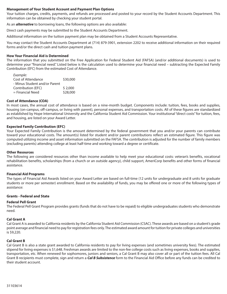#### **Management of Your Student Account and Payment Plan Options**

Your tuition charges, credits, payments, and refunds are processed and posted to your record by the Student Accounts Department. This information can be obtained by checking your student portal.

As an *alternative* to borrowing loans, the following options are also available:

Direct cash payments may be submitted to the Student Accounts Department.

Additional information on the tuition payment plan may be obtained from a Student Accounts Representative.

You may contact the Student Accounts Department at (714) 879-3901, extension 2202 to receive additional information on their required forms and/or the direct cash and tuition payment plans.

#### **How Your Financial Aid is Determined**

The information that you submitted on the Free Application for Federal Student Aid (FAFSA) (and/or additional documents) is used to determine your "financial need." Listed below is the calculation used to determine your financial need – subtracting the Expected Family Contribution (EFC) from the estimated Cost of Attendance.

| Example:                      |          |
|-------------------------------|----------|
| Cost of Attendance            | \$30,000 |
| - Minus Student and/or Parent |          |
| Contribution (EFC)            | \$2,000  |
| = Financial Need              | \$28,000 |
|                               |          |

#### **Cost of Attendance (COA)**

In most cases, the annual cost of attendance is based on a nine-month budget. Components include: tuition, fees, books and supplies, housing (on-campus, off-campus, or living with parent), personal expenses, and transportation costs. All of these figures are standardized as established by Hope International University and the California Student Aid Commission. Your institutional "direct costs" for tuition, fees, and housing, are listed on your Award Letter.

#### **Expected Family Contribution (EFC)**

Your Expected Family Contribution is the amount determined by the federal government that you and/or your parents can contribute toward your educational costs. The amount(s) listed for student and/or parent contributions reflect an estimated figure. This figure was computed utilizing income and asset information submitted on the FAFSA. The contribution is adjusted for the number of family members (excluding parents) attending college at least half-time and working toward a degree or certificate.

#### **Other Resources**

The following are considered resources other than income available to help meet your educational costs: veteran's benefits, vocational rehabilitation benefits, scholarships (from a church or an outside agency), child support, AmeriCorp benefits and other forms of financial assistance.

#### **Financial Aid Programs**

The types of Financial Aid Awards listed on your Award Letter are based on full-time (12 units for undergraduate and 8 units for graduate students or more per semester) enrollment. Based on the availability of funds, you may be offered one or more of the following types of assistance:

#### **Grants - Federal and State**

#### **Federal Pell Grant**

The Federal Pell Grant Program provides grants (funds that do not have to be repaid) to eligible undergraduates students who demonstrate need.

#### **Cal Grant A**

Cal Grant A is awarded to California residents by the California Student Aid Commission (CSAC). These awards are based on a student's grade point average and financial need to pay for registration fees only. The estimated award amount for tuition for private colleges and universities is \$9,220.

#### **Cal Grant B**

Cal Grant B is also a state grant awarded to California residents to pay for living expenses (and sometimes university fees). The estimated stipend for living expenses is \$1,648. Freshman awards are limited to the non-fee college costs such as living expenses, books and supplies, transportation, etc. When renewed for sophomores, juniors and seniors, a Cal Grant B may also cover all or part of the tuition fees. All Cal Grant B recipients must complete, sign and return a *Cal B Subsistence* form to the Financial Aid Office before any funds can be credited to their student account.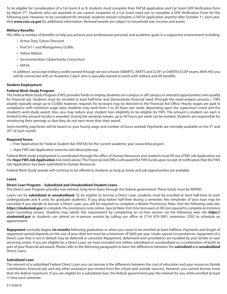To be eligible for consideration of a Cal Grant A or B, students must complete their FAFSA application and Cal Grant GPA Verification form by March 2<sup>nd</sup>. Students who are awarded or are current recipients of a Cal Grant need not re-complete a GPA Verification Form for the following year. However, to be considered for renewal, students should complete a FAFSA application anytime after October 1st, each year. Visit *www.csac.ca.gov* for additional information. Renewal awards are subject to household size, income and assets.

#### **Military Benefits**

HIU offers a number of benefits to help you achieve your professional, personal, and academic goals in a supportive environment including:

- Active Duty Tuition Discount
- Post 9/11 and Montgomery GI Bills
- Yellow Ribbon
- Servicemembers Opportunity Consortium
- FAFSA

In addition, we accept military credits earned through service schools (SMARTS, AARTS and CCAF) or DANTES/CLEP exams. With HIU you will be connected with an Academic Coach who is specially trained to assist with military and VA benefits.

#### **Student Employment**

#### **Federal Work-Study Program**

The Federal Work Study Program (FWS) provides funds to employ students (on-campus or off-campus in selected opportunities) who qualify for financial aid. Students must be enrolled at least half-time and demonstrate financial need (through the need-analysis process ). FWS awards typically range up to \$3,000; however, requests for increases may be directed to the Financial Aid Office. Hourly wages are paid in compliance with minimum wage laws; students may work from 5 to 20 hours per week, depending upon the supervisor's need and the student's work-study award. Also, you may reduce your student loan eligibility to be eligible for FWS. The amount a student can earn is limited to the amount he/she is awarded. During the semester breaks, up to 40 hours per week can be worked. Students are responsible for monitoring their earnings so that they do not earn more than their award.

Semi-monthly paychecks will be based on your hourly wage and number of hours worked. Paychecks are normally available on the 5<sup>th</sup> and 20<sup>th</sup> of each month.

#### **Required forms:**

- Free Application for Federal Student Aid (FAFSA) for the current academic year (*www.fafsa.ed.gov*)
- *Hope* FWS Job Application *www.hiu.edu/about/jobs.asp*

Federal Work study employment is coordinated through the office of Human Resources and students must fill out a FWS Job Application via the *Hope* **FWS Job Application** link listed above. The Financial Aid Office will award the FWS funds upon receipt of notification that the FWS Job Application has been submitted to Human Resources.

Federal Work Study awards will continue to be offered to students as long as funds and job opportunities are available.

#### **Loans**

#### **Direct Loan Program – Subsidized and Unsubsidized Student Loans**

The Direct Loan Program provides low-interest, long-term loans through the federal government. These funds must be REPAID.

Loans can be **subsidized or unsubsidized**. To be eligible to borrow a Direct Loan, students must be enrolled at least half-time (6 units undergraduate and 4 units for graduate students). If you drop below half-time during a semester, the remainder of your loan may be canceled. If you decide to borrow a Direct Loan, you will be required to complete a Master Promissory Note. Visit the following web site, *https://studentaid.gov* to complete the promissory note online. *Special Note: First-time borrowers at HIU are required to complete an Entrance Loan Counseling session.* Students may satisfy this requirement by completing an on-line session via the following web site *https:// studentaid.gov* or students can attend an in-person session by calling our office at (714) 879-3901, extension 2202 to schedule an appointment.

**Repayment** normally begins **six months** following graduation or when you cease to be enrolled at least halftime. Payments and length of repayment period depends on the size of your debt but must be a minimum of \$600 per year. Under special circumstances, repayment of a Direct Loan that is not in default may be deferred or canceled. Repayment, deferment and cancellation are handled by your lender or loan servicing center. If you are eligible for a Direct Loan, we have included one (either subsidized or unsubsidized or a combination of both) as part of your financial aid award. Please refer to the following paragraphs to learn the differences between the *subsidized* and *unsubsidized*  Direct Loans.

#### **Subsidized Loan**

The amount of a subsidized Federal Direct Loan you can borrow is the difference between the cost of education and your resources (family contribution, financial aid, and any other assistance you receive from the school and outside sources). However, you cannot borrow more than the federal maximum. If you are eligible for a subsidized loan, the federal government pays the interest for you while enrolled at least ½-time each semester.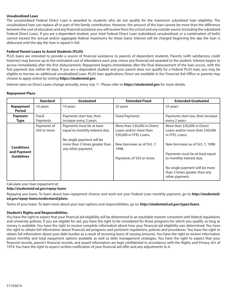#### **Unsubsidized Loan**

The unsubsidized Federal Direct Loan is awarded to students who do not qualify for the maximum subsidized loan eligibility. The unsubsidized loan can replace all or part of the family contribution. However, the amount of the loan cannot be more than the difference between the cost of education and any financial assistance you will receive from the school and any outside source (including the subsidized Federal Direct Loan). If you are a dependent student, your total Federal Direct Loan (subsidized, unsubsidized, or a combination of both) cannot exceed the annual and/or aggregate federal maximums for these loans. Interest will be charged beginning the day the loan is disbursed until the day the loan is repaid in full.

#### **Federal Parent Loans to Assist Students (PLUS)**

PLUS loans are intended to provide a source of financial assistance to parents of dependent students. Parents (with satisfactory credit histories) may borrow up to the estimated cost of attendance each year, minus any financial aid awarded to the student. Interest begins to accrue immediately after the first disbursement. Repayment begins immediately after the final disbursement of the loan occurs, with the first payment due within 60 days. If you are a dependent student and your parent does not qualify for a Federal PLUS loan, you may be eligible to borrow an additional unsubsidized Loan. PLUS loan applications Direct are available in the Financial Aid Office or parents may choose to apply online by visiting *https://studentaid.gov*.

Interest rates on Direct Loans change annually, every July 1<sup>st</sup>. Please refer to **https://studentaid.gov** for more details.

#### **Repayment Plans**

|                                                       | <b>Standard</b>             | <b>Graduated</b>                                                                                                                                 | <b>Extended Fixed</b>                                                                                                                                 | <b>Extended Graduated</b>                                                                                                                                                                                                                                                 |
|-------------------------------------------------------|-----------------------------|--------------------------------------------------------------------------------------------------------------------------------------------------|-------------------------------------------------------------------------------------------------------------------------------------------------------|---------------------------------------------------------------------------------------------------------------------------------------------------------------------------------------------------------------------------------------------------------------------------|
| <b>Repayment</b><br><b>Period</b>                     | 10 years                    | 10 years                                                                                                                                         | 25 years                                                                                                                                              | 25 years                                                                                                                                                                                                                                                                  |
| <b>Payment</b><br><b>Type</b>                         | Fixed<br>Payments           | Payments start low, then<br>increase every 2 years.                                                                                              | <b>Fixed Payments</b>                                                                                                                                 | Payments start low, then increase<br>every 2 years.                                                                                                                                                                                                                       |
| <b>Conditions</b><br>and Payment<br><b>Guidelines</b> | Payments of<br>\$50 or more | Payments must be at least<br>equal to monthly interest due.<br>No single payment will be<br>more than 3 times greater than<br>any other payment. | More than \$30,000 in Direct<br>Loans and/or more than<br>\$30,000 in FFEL Loans.<br>New borrower as of Oct. 7,<br>1998.<br>Payments of \$50 or more. | More than \$30,000 in Direct<br>Loans and/or more than \$30,000<br>in FFEL Loans.<br>New borrower as of Oct. 7, 1998.<br>Payments must be at least equal<br>to monthly interest due.<br>No single payment will be more<br>than 3 times greater than any<br>other payment. |

Calculate your loan repayment at: *http://studentaid.ed.gov/repay-loans*

Repaying you loans. To learn about loan repayment choices and work out your Federal Loan monthly payment, go to *http://studentaid. ed.gov/repay-loans/understand/plans*.

Terms of your loans. To learn more about your loan options and responsibilities, go to: *http://studentaid.ed.gov/types/loans*.

#### **Student's Rights and Responsibilities**

You have the right to expect that your financial aid eligibility will be determined in an equitable manner consistent with federal regulations and university policies. If you are eligible for aid, you have the right to be considered for those programs for which you qualify, as long as money is available. You have the right to receive complete information about how your financial aid eligibility was determined. You have the right to obtain full information about financial aid programs and pertinent regulations, policies and procedures. You have the right to obtain full information about your debt burden as a result of receiving loans of varying amounts. You have the right to receive information about monthly and total repayment options available as well as debt management strategies. You have the right to expect that your financial records, parent's financial records, and award information are kept confidential in accordance with the Rights and Privacy Act of 1974. You have the right to expect written notification of your financial aid offer and any adjustments to it.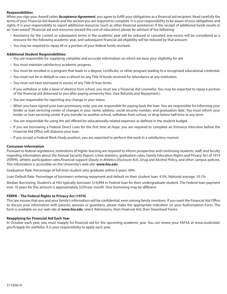#### **Responsibilities**

When you sign your Award Letter *Acceptance Agreement*, you agree to fulfill your obligations as a financial aid recipient. Read carefully the terms of your Financial Aid Awards and the section you are required to complete. It is your responsibility to be aware of your obligations and rights. It is your responsibility to report additional resources (such as other financial assistance). If the receipt of additional funds results in an "over-award" (financial aid and resources exceed the cost of education) please be advised of the following:

- Assistance for the current or subsequent terms in the academic year will be reduced or canceled; any excess will be considered as a resource for the following academic year, and subsequent financial aid eligibility will be reduced by that amount.
- You may be required to repay all or a portion of your federal funds received.

#### **Additional Student Responsibilities:**

- You are responsible for supplying complete and accurate information on which we base your eligibility for aid.
- You must maintain satisfactory academic progress.
- You must be enrolled in a program that leads to a degree, certificate, or other program leading to a recognized educational credential.
- You must not be in default or owe a refund on any Title IV funds received for attendance at any institution.
- You must not have borrowed in excess of any Title IV loan limits.
- If you *withdraw or take a leave of absence from school*, you must see a Financial Aid counselor. You may be expected to repay a portion of the financial aid disbursed to you after paying university fees. (See Refunds and Repayment.)
- You are responsible for reporting any change in your status.
- When you have signed your loan promissory note, you are responsible for paying back the loan. You are responsible for informing your lender or loan servicing center of changes in your name, address, social security number, and graduation date. You must inform your lender or loan servicing center if you transfer to another school, withdraw from school, or drop below half-time in any term.
- You are responsible for using the aid offered for educationally related expenses as defined in the student budget.
- If you are borrowing a Federal Direct Loan for the first time at *Hope*, you are required to complete an Entrance Interview before the Financial Aid Office will disburse your loan.
- If you accept a Federal Work-Study position, you are expected to perform the work in a satisfactory manner.

#### **Consumer Information**

Pursuant to federal regulations, institutions of higher learning are required to inform prospective and continuing students, staff, and faculty regarding information about the Annual Security Report, crime statistics, graduation rates, Family Education Rights and Privacy Act of 1974 (*FERPA*), athletic participation rates/financial support (*Equity in Athletics Disclosure Act*), Drug and Alcohol Policy, and other campus policies. This information is accessible on the University's web site: *www.hiu.edu*.

Graduation Rate. Percentage of full-time student who graduate within 6 years: 49%

Loan Default Rate. Percentage of borrowers entering repayment and default on their student loan: 4.5%. National average: 10.1%

Median Borrowing. Student's at HIU typically borrower \$19,894 in Federal loan for their undergraduate student. The Federal loan payment over 10 years for this amount is approximately \$239 per month. Your borrowing may be different.

#### **FERPA – The Federal Rights to Privacy Act (1974)**

This law insures that you and your family's information will be confidential, even among family members. If you want the Financial Aid Office to discuss your information with parents, spouses or guardians, please make the appropriate indication on your Authorization Form. The form is available on our web site at *www.hiu.edu*, select Admissions, then Financial Aid, then Download Forms.

#### **Reapplying for Financial Aid Each Year**

In October each year, you must reapply for financial aid for the upcoming academic year. You can renew your FAFSA at *www.studentaid. gov/h/apply-for-aid/fafsa*. It is your responsibility to apply each year.